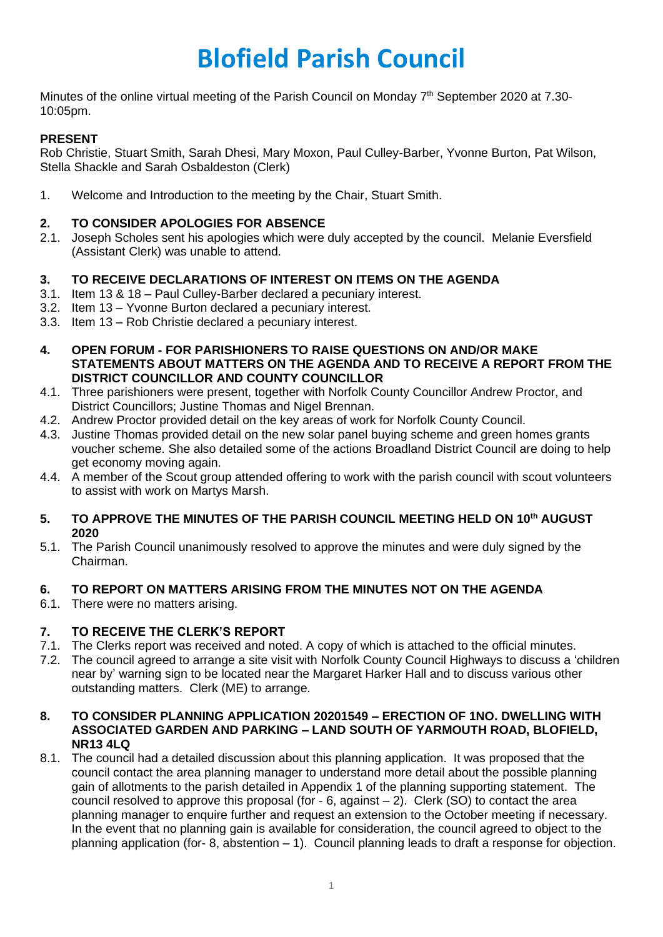# **Blofield Parish Council**

Minutes of the online virtual meeting of the Parish Council on Monday 7<sup>th</sup> September 2020 at 7.30-10:05pm.

# **PRESENT**

Rob Christie, Stuart Smith, Sarah Dhesi, Mary Moxon, Paul Culley-Barber, Yvonne Burton, Pat Wilson, Stella Shackle and Sarah Osbaldeston (Clerk)

1. Welcome and Introduction to the meeting by the Chair, Stuart Smith.

# **2. TO CONSIDER APOLOGIES FOR ABSENCE**

2.1. Joseph Scholes sent his apologies which were duly accepted by the council. Melanie Eversfield (Assistant Clerk) was unable to attend.

# **3. TO RECEIVE DECLARATIONS OF INTEREST ON ITEMS ON THE AGENDA**

- 3.1. Item 13 & 18 Paul Culley-Barber declared a pecuniary interest.
- 3.2. Item 13 Yvonne Burton declared a pecuniary interest.
- 3.3. Item 13 Rob Christie declared a pecuniary interest.
- **4. OPEN FORUM - FOR PARISHIONERS TO RAISE QUESTIONS ON AND/OR MAKE STATEMENTS ABOUT MATTERS ON THE AGENDA AND TO RECEIVE A REPORT FROM THE DISTRICT COUNCILLOR AND COUNTY COUNCILLOR**
- 4.1. Three parishioners were present, together with Norfolk County Councillor Andrew Proctor, and District Councillors; Justine Thomas and Nigel Brennan.
- 4.2. Andrew Proctor provided detail on the key areas of work for Norfolk County Council.
- 4.3. Justine Thomas provided detail on the new solar panel buying scheme and green homes grants voucher scheme. She also detailed some of the actions Broadland District Council are doing to help get economy moving again.
- 4.4. A member of the Scout group attended offering to work with the parish council with scout volunteers to assist with work on Martys Marsh.

#### **5. TO APPROVE THE MINUTES OF THE PARISH COUNCIL MEETING HELD ON 10th AUGUST 2020**

5.1. The Parish Council unanimously resolved to approve the minutes and were duly signed by the Chairman.

# **6. TO REPORT ON MATTERS ARISING FROM THE MINUTES NOT ON THE AGENDA**

6.1. There were no matters arising.

# **7. TO RECEIVE THE CLERK'S REPORT**

- 7.1. The Clerks report was received and noted. A copy of which is attached to the official minutes.
- 7.2. The council agreed to arrange a site visit with Norfolk County Council Highways to discuss a 'children near by' warning sign to be located near the Margaret Harker Hall and to discuss various other outstanding matters. Clerk (ME) to arrange.

#### **8. TO CONSIDER PLANNING APPLICATION 20201549 – ERECTION OF 1NO. DWELLING WITH ASSOCIATED GARDEN AND PARKING – LAND SOUTH OF YARMOUTH ROAD, BLOFIELD, NR13 4LQ**

8.1. The council had a detailed discussion about this planning application. It was proposed that the council contact the area planning manager to understand more detail about the possible planning gain of allotments to the parish detailed in Appendix 1 of the planning supporting statement. The council resolved to approve this proposal (for  $-6$ , against  $-2$ ). Clerk (SO) to contact the area planning manager to enquire further and request an extension to the October meeting if necessary. In the event that no planning gain is available for consideration, the council agreed to object to the planning application (for- 8, abstention – 1). Council planning leads to draft a response for objection.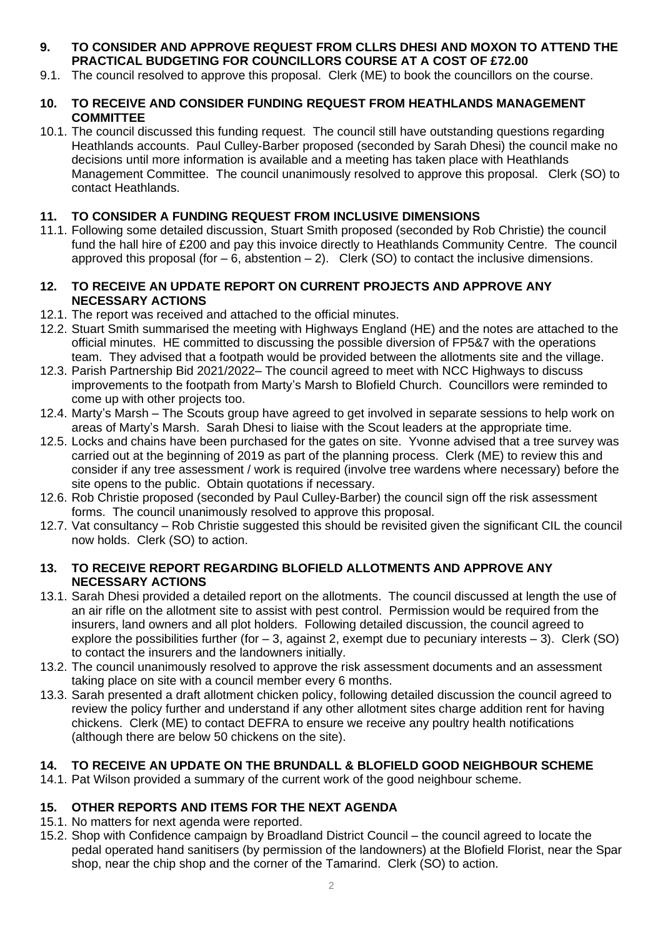# **9. TO CONSIDER AND APPROVE REQUEST FROM CLLRS DHESI AND MOXON TO ATTEND THE PRACTICAL BUDGETING FOR COUNCILLORS COURSE AT A COST OF £72.00**

9.1. The council resolved to approve this proposal. Clerk (ME) to book the councillors on the course.

#### **10. TO RECEIVE AND CONSIDER FUNDING REQUEST FROM HEATHLANDS MANAGEMENT COMMITTEE**

10.1. The council discussed this funding request. The council still have outstanding questions regarding Heathlands accounts. Paul Culley-Barber proposed (seconded by Sarah Dhesi) the council make no decisions until more information is available and a meeting has taken place with Heathlands Management Committee. The council unanimously resolved to approve this proposal. Clerk (SO) to contact Heathlands.

# **11. TO CONSIDER A FUNDING REQUEST FROM INCLUSIVE DIMENSIONS**

11.1. Following some detailed discussion, Stuart Smith proposed (seconded by Rob Christie) the council fund the hall hire of £200 and pay this invoice directly to Heathlands Community Centre. The council approved this proposal (for  $-6$ , abstention  $-2$ ). Clerk (SO) to contact the inclusive dimensions.

#### **12. TO RECEIVE AN UPDATE REPORT ON CURRENT PROJECTS AND APPROVE ANY NECESSARY ACTIONS**

- 12.1. The report was received and attached to the official minutes.
- 12.2. Stuart Smith summarised the meeting with Highways England (HE) and the notes are attached to the official minutes. HE committed to discussing the possible diversion of FP5&7 with the operations team. They advised that a footpath would be provided between the allotments site and the village.
- 12.3. Parish Partnership Bid 2021/2022– The council agreed to meet with NCC Highways to discuss improvements to the footpath from Marty's Marsh to Blofield Church. Councillors were reminded to come up with other projects too.
- 12.4. Marty's Marsh The Scouts group have agreed to get involved in separate sessions to help work on areas of Marty's Marsh. Sarah Dhesi to liaise with the Scout leaders at the appropriate time.
- 12.5. Locks and chains have been purchased for the gates on site. Yvonne advised that a tree survey was carried out at the beginning of 2019 as part of the planning process. Clerk (ME) to review this and consider if any tree assessment / work is required (involve tree wardens where necessary) before the site opens to the public. Obtain quotations if necessary.
- 12.6. Rob Christie proposed (seconded by Paul Culley-Barber) the council sign off the risk assessment forms. The council unanimously resolved to approve this proposal.
- 12.7. Vat consultancy Rob Christie suggested this should be revisited given the significant CIL the council now holds. Clerk (SO) to action.

## **13. TO RECEIVE REPORT REGARDING BLOFIELD ALLOTMENTS AND APPROVE ANY NECESSARY ACTIONS**

- 13.1. Sarah Dhesi provided a detailed report on the allotments. The council discussed at length the use of an air rifle on the allotment site to assist with pest control. Permission would be required from the insurers, land owners and all plot holders. Following detailed discussion, the council agreed to explore the possibilities further (for  $-3$ , against 2, exempt due to pecuniary interests  $-3$ ). Clerk (SO) to contact the insurers and the landowners initially.
- 13.2. The council unanimously resolved to approve the risk assessment documents and an assessment taking place on site with a council member every 6 months.
- 13.3. Sarah presented a draft allotment chicken policy, following detailed discussion the council agreed to review the policy further and understand if any other allotment sites charge addition rent for having chickens. Clerk (ME) to contact DEFRA to ensure we receive any poultry health notifications (although there are below 50 chickens on the site).

# **14. TO RECEIVE AN UPDATE ON THE BRUNDALL & BLOFIELD GOOD NEIGHBOUR SCHEME**

14.1. Pat Wilson provided a summary of the current work of the good neighbour scheme.

# **15. OTHER REPORTS AND ITEMS FOR THE NEXT AGENDA**

- 15.1. No matters for next agenda were reported.
- 15.2. Shop with Confidence campaign by Broadland District Council the council agreed to locate the pedal operated hand sanitisers (by permission of the landowners) at the Blofield Florist, near the Spar shop, near the chip shop and the corner of the Tamarind. Clerk (SO) to action.